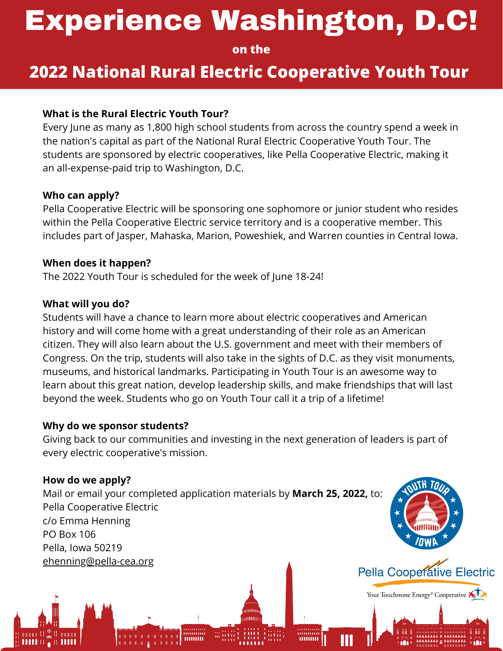# Experience Washington, D.C!

**on the**

## **2022 National Rural Electric Cooperative Youth Tour**

#### **What is the Rural Electric Youth Tour?**

Every June as many as 1,800 high school students from across the country spend a week in the nation's capital as part of the National Rural Electric Cooperative Youth Tour. The students are sponsored by electric cooperatives, like Pella Cooperative Electric, making it an all-expense-paid trip to Washington, D.C.

#### **Who can apply?**

Pella Cooperative Electric will be sponsoring one sophomore or junior student who resides within the Pella Cooperative Electric service territory and is a cooperative member. This includes part of Jasper, Mahaska, Marion, Poweshiek, and Warren counties in Central Iowa.

#### **When does it happen?**

The 2022 Youth Tour is scheduled for the week of June 18-24!

#### **What will you do?**

Students will have a chance to learn more about electric cooperatives and American history and will come home with a great understanding of their role as an American citizen. They will also learn about the U.S. government and meet with their members of Congress. On the trip, students will also take in the sights of D.C. as they visit monuments, museums, and historical landmarks. Participating in Youth Tour is an awesome way to learn about this great nation, develop leadership skills, and make friendships that will last beyond the week. Students who go on Youth Tour call it a trip of a lifetime!

#### **Why do we sponsor students?**

Giving back to our communities and investing in the next generation of leaders is part of every electric cooperative's mission.

#### **How do we apply?**

Mail or email your completed application materials by **March 25, 2022,** to: Pella Cooperative Electric c/o Emma Henning PO Box 106 Pella, Iowa 50219 [ehenning@pella-cea.org](mailto:ehenning@pella-cea.org)

'''''''''''''



Your Touchstone Energy® Cooperative KID

M

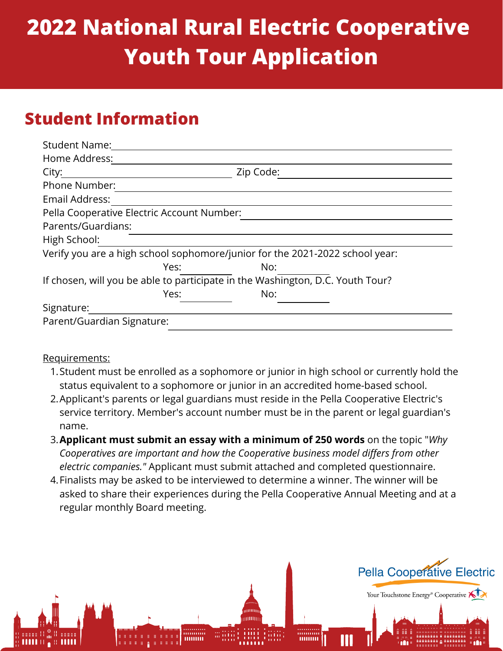## **2022 National Rural Electric Cooperative Youth Tour Application**

## **Student Information**

| <b>Student Name:</b>                                                           |           |
|--------------------------------------------------------------------------------|-----------|
| Home Address:                                                                  |           |
| City:                                                                          | Zip Code: |
| <b>Phone Number:</b>                                                           |           |
| Email Address:                                                                 |           |
| Pella Cooperative Electric Account Number:                                     |           |
| Parents/Guardians:                                                             |           |
| High School:                                                                   |           |
| Verify you are a high school sophomore/junior for the 2021-2022 school year:   |           |
| Yes:                                                                           | No:       |
| If chosen, will you be able to participate in the Washington, D.C. Youth Tour? |           |
| Yes:                                                                           | No:       |
| Signature:                                                                     |           |
| Parent/Guardian Signature:                                                     |           |

#### Requirements:

- 1.Student must be enrolled as a sophomore or junior in high school or currently hold the status equivalent to a sophomore or junior in an accredited home-based school.
- 2. Applicant's parents or legal guardians must reside in the Pella Cooperative Electric's service territory. Member's account number must be in the parent or legal guardian's name.
- **Applicant must submit an essay with a minimum of 250 words** on the topic "*Why* 3. *Cooperatives are important and how the Cooperative business model differs from other electric companies."* Applicant must submit attached and completed questionnaire.
- Finalists may be asked to be interviewed to determine a winner. The winner will be 4. asked to share their experiences during the Pella Cooperative Annual Meeting and at a regular monthly Board meeting.